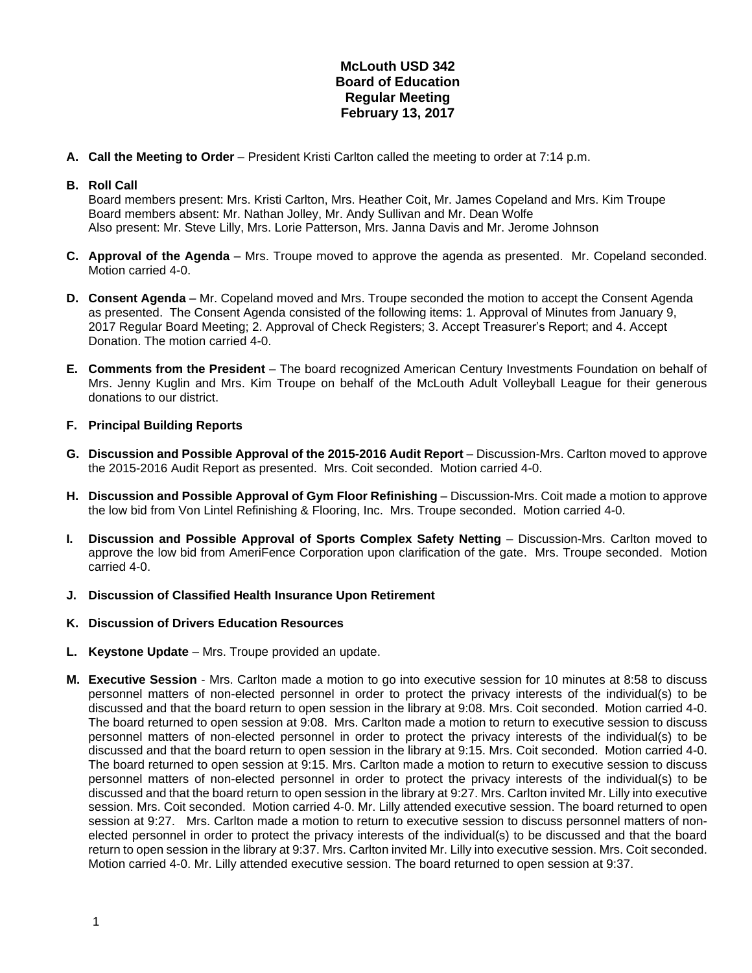## **McLouth USD 342 Board of Education Regular Meeting February 13, 2017**

**A. Call the Meeting to Order** – President Kristi Carlton called the meeting to order at 7:14 p.m.

## **B. Roll Call**

Board members present: Mrs. Kristi Carlton, Mrs. Heather Coit, Mr. James Copeland and Mrs. Kim Troupe Board members absent: Mr. Nathan Jolley, Mr. Andy Sullivan and Mr. Dean Wolfe Also present: Mr. Steve Lilly, Mrs. Lorie Patterson, Mrs. Janna Davis and Mr. Jerome Johnson

- **C. Approval of the Agenda** Mrs. Troupe moved to approve the agenda as presented. Mr. Copeland seconded. Motion carried 4-0.
- **D. Consent Agenda** Mr. Copeland moved and Mrs. Troupe seconded the motion to accept the Consent Agenda as presented. The Consent Agenda consisted of the following items: 1. Approval of Minutes from January 9, 2017 Regular Board Meeting; 2. Approval of Check Registers; 3. Accept Treasurer's Report; and 4. Accept Donation. The motion carried 4-0.
- **E. Comments from the President** The board recognized American Century Investments Foundation on behalf of Mrs. Jenny Kuglin and Mrs. Kim Troupe on behalf of the McLouth Adult Volleyball League for their generous donations to our district.

## **F. Principal Building Reports**

- **G. Discussion and Possible Approval of the 2015-2016 Audit Report** Discussion-Mrs. Carlton moved to approve the 2015-2016 Audit Report as presented. Mrs. Coit seconded. Motion carried 4-0.
- **H. Discussion and Possible Approval of Gym Floor Refinishing** Discussion-Mrs. Coit made a motion to approve the low bid from Von Lintel Refinishing & Flooring, Inc. Mrs. Troupe seconded. Motion carried 4-0.
- **I. Discussion and Possible Approval of Sports Complex Safety Netting** Discussion-Mrs. Carlton moved to approve the low bid from AmeriFence Corporation upon clarification of the gate. Mrs. Troupe seconded. Motion carried 4-0.
- **J. Discussion of Classified Health Insurance Upon Retirement**
- **K. Discussion of Drivers Education Resources**
- **L. Keystone Update**  Mrs. Troupe provided an update.
- **M. Executive Session** Mrs. Carlton made a motion to go into executive session for 10 minutes at 8:58 to discuss personnel matters of non-elected personnel in order to protect the privacy interests of the individual(s) to be discussed and that the board return to open session in the library at 9:08. Mrs. Coit seconded. Motion carried 4-0. The board returned to open session at 9:08. Mrs. Carlton made a motion to return to executive session to discuss personnel matters of non-elected personnel in order to protect the privacy interests of the individual(s) to be discussed and that the board return to open session in the library at 9:15. Mrs. Coit seconded. Motion carried 4-0. The board returned to open session at 9:15. Mrs. Carlton made a motion to return to executive session to discuss personnel matters of non-elected personnel in order to protect the privacy interests of the individual(s) to be discussed and that the board return to open session in the library at 9:27. Mrs. Carlton invited Mr. Lilly into executive session. Mrs. Coit seconded. Motion carried 4-0. Mr. Lilly attended executive session. The board returned to open session at 9:27. Mrs. Carlton made a motion to return to executive session to discuss personnel matters of nonelected personnel in order to protect the privacy interests of the individual(s) to be discussed and that the board return to open session in the library at 9:37. Mrs. Carlton invited Mr. Lilly into executive session. Mrs. Coit seconded. Motion carried 4-0. Mr. Lilly attended executive session. The board returned to open session at 9:37.